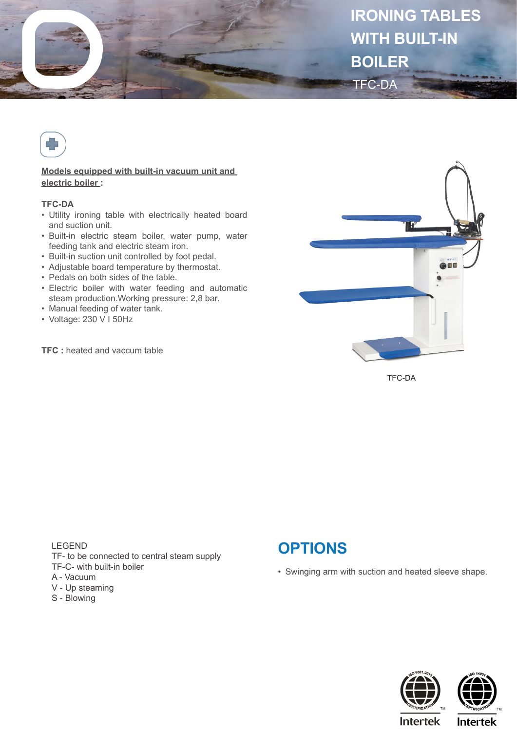



## **Models equipped with built-in vacuum unit and electric boiler :**

## **TFC-DA**

- Utility ironing table with electrically heated board and suction unit.
- Built-in electric steam boiler, water pump, water feeding tank and electric steam iron.
- Built-in suction unit controlled by foot pedal.
- Adjustable board temperature by thermostat.
- Pedals on both sides of the table.
- Electric boiler with water feeding and automatic steam production.Working pressure: 2,8 bar.
- Manual feeding of water tank.
- Voltage: 230 V I 50Hz

**TFC :** heated and vaccum table



TFC-DA

LEGEND TF- to be connected to central steam supply TF-C- with built-in boiler A - Vacuum

- V Up steaming
- S Blowing



• Swinging arm with suction and heated sleeve shape.